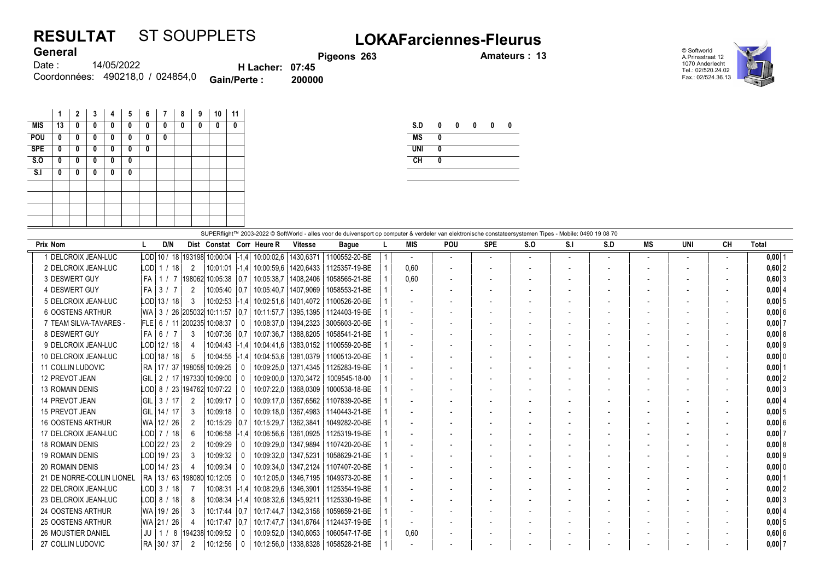## RESULTAT ST SOUPPLETS LOKAFarciennes-Fleurus

Pigeons 263 **Amateurs : 13** 

© Softworld A.Prinsstraat 12 1070 Anderlecht Tel.: 02/520.24.02 Fax.: 02/524.36.13



14/05/2022 Coordonnées: 490218,0 / 024854,0 **Gain/Perte : 200000** Date : **General** H Lacher: 07:45<br>Perte : 200000

|            | 1  | 2 | 3 | 4 | 5 | 6            | 7 | 8 | 9 | 10 | 11 |
|------------|----|---|---|---|---|--------------|---|---|---|----|----|
| <b>MIS</b> | 13 | 0 | 0 | 0 | 0 | 0            | 0 | 0 | 0 | 0  | 0  |
| POU        | 0  | 0 | 0 | 0 | 0 | 0            | 0 |   |   |    |    |
| <b>SPE</b> | 0  | 0 | 0 | 0 | 0 | $\mathbf{0}$ |   |   |   |    |    |
| S.0        | 0  | 0 | 0 | 0 | 0 |              |   |   |   |    |    |
| S.I        | 0  | 0 | 0 | 0 | 0 |              |   |   |   |    |    |
|            |    |   |   |   |   |              |   |   |   |    |    |
|            |    |   |   |   |   |              |   |   |   |    |    |
|            |    |   |   |   |   |              |   |   |   |    |    |
|            |    |   |   |   |   |              |   |   |   |    |    |

| S.D        | 0 | 0 | 0 | n | 0 |
|------------|---|---|---|---|---|
| <b>MS</b>  | Λ |   |   |   |   |
| <b>UNI</b> | Λ |   |   |   |   |
| <b>CH</b>  | Λ |   |   |   |   |
|            |   |   |   |   |   |

|                           | SUPERflight™ 2003-2022 © SoftWorld - alles voor de duivensport op computer & verdeler van elektronische constateersystemen Tipes - Mobile: 0490 19 08 70 |                 |                |                                     |                   |                                         |                        |               |  |                          |                          |                          |     |     |     |           |     |                          |            |
|---------------------------|----------------------------------------------------------------------------------------------------------------------------------------------------------|-----------------|----------------|-------------------------------------|-------------------|-----------------------------------------|------------------------|---------------|--|--------------------------|--------------------------|--------------------------|-----|-----|-----|-----------|-----|--------------------------|------------|
| <b>Prix Nom</b>           |                                                                                                                                                          | D/N             |                |                                     |                   | Dist Constat Corr Heure R               | Vitesse                | <b>Bague</b>  |  | <b>MIS</b>               | <b>POU</b>               | <b>SPE</b>               | S.O | S.I | S.D | <b>MS</b> | UNI | CН                       | Total      |
| 1 DELCROIX JEAN-LUC       |                                                                                                                                                          |                 |                | LOD 10 / 18 193198 10:00:04 -1,4    |                   | 10:00:02.6   1430.6371                  |                        | 1100552-20-BE |  |                          | $\overline{\phantom{a}}$ | $\overline{\phantom{a}}$ |     |     |     |           |     | $\overline{\phantom{a}}$ | $0,00$ 1   |
| 2 DELCROIX JEAN-LUC       |                                                                                                                                                          | LODI 1 / 18     | 2              |                                     |                   | 10:01:01 -1.4 10:00:59.6 1420.6433      |                        | 1125357-19-BE |  | 0.60                     |                          |                          |     |     |     |           |     |                          | $0,60$  2  |
| 3 DESWERT GUY             | l FA                                                                                                                                                     |                 |                | │ 1 / 7 │198062│10:05:38 │0.7│      |                   |                                         | 10:05:38.7   1408.2406 | 1058565-21-BE |  | 0.60                     | $\overline{\phantom{a}}$ |                          |     |     |     |           |     |                          | $0,60$   3 |
| 4 DESWERT GUY             | l FA                                                                                                                                                     | 3/7             | 2              | 10:05:40                            | $\vert 0.7 \vert$ | 10:05:40.7   1407.9069                  |                        | 1058553-21-BE |  |                          |                          |                          |     |     |     |           |     |                          | $0,00$ 4   |
| 5 DELCROIX JEAN-LUC       |                                                                                                                                                          | LOD 13 / 18     | 3              | $10:02:53$ $ -1.4 $                 |                   | 10:02:51.6   1401.4072                  |                        | 1100526-20-BE |  |                          |                          |                          |     |     |     |           |     |                          | 0.0015     |
| 6 OOSTENS ARTHUR          |                                                                                                                                                          |                 |                | WA   3 / 26  205032  10:11:57   0.7 |                   |                                         | 10:11:57.7   1395.1395 | 1124403-19-BE |  |                          |                          |                          |     |     |     |           |     |                          | $0,00$ 6   |
| 7 TEAM SILVA-TAVARES -    |                                                                                                                                                          |                 |                | FLE 6 / 11 200235 10:08:37          | - ( )             |                                         | 10:08:37.0   1394.2323 | 3005603-20-BE |  |                          |                          |                          |     |     |     |           |     |                          | $0,00$ 7   |
| 8 DESWERT GUY             |                                                                                                                                                          | $FA$ 6 / 7      | 3              | 10:07:36 0.7                        |                   |                                         | 10:07:36.7   1388.8205 | 1058541-21-BE |  |                          |                          |                          |     |     |     |           |     |                          | 0,008      |
| 9 DELCROIX JEAN-LUC       |                                                                                                                                                          | $LOD$   12 / 18 | 4              | $10:04:43$ -1.4                     |                   | 10:04:41.6   1383.0152                  |                        | 1100559-20-BE |  |                          |                          |                          |     |     |     |           |     |                          | $0.00$  9  |
| 10 DELCROIX JEAN-LUC      |                                                                                                                                                          | LOD 18 / 18     | -5             | $10:04:55$ -1.4                     |                   |                                         | 10:04:53.6   1381.0379 | 1100513-20-BE |  | $\overline{\phantom{a}}$ |                          |                          |     |     |     |           |     |                          | 0,00 0     |
| <b>11 COLLIN LUDOVIC</b>  |                                                                                                                                                          |                 |                | RA   17 / 37   198058  10:09:25     | $\Omega$          |                                         | 10:09:25.0   1371.4345 | 1125283-19-BE |  |                          |                          |                          |     |     |     |           |     |                          | $0,00$  1  |
| 12 PREVOT JEAN            |                                                                                                                                                          |                 |                | GIL   2 / 17   197330   10:09:00    | $\Omega$          |                                         | 10:09:00.0   1370.3472 | 1009545-18-00 |  | $\overline{\phantom{a}}$ |                          |                          |     |     |     |           |     | $\overline{\phantom{a}}$ | $0,00$ 2   |
| <b>13 ROMAIN DENIS</b>    |                                                                                                                                                          |                 |                | LOD 8 / 23 194762 10:07:22          |                   |                                         | 10:07:22.0   1368.0309 | 1000538-18-BE |  |                          |                          |                          |     |     |     |           |     |                          | 0.0013     |
| 14 PREVOT JEAN            | GIL                                                                                                                                                      | 3/17            | $\overline{2}$ | 10:09:17                            | - 0               |                                         | 10:09:17.0   1367.6562 | 1107839-20-BE |  |                          |                          |                          |     |     |     |           |     |                          | $0,00$ 4   |
| 15 PREVOT JEAN            |                                                                                                                                                          | GIL 14 / 17     | 3              | 10:09:18                            | $\Omega$          |                                         | 10:09:18.0   1367.4983 | 1140443-21-BE |  |                          |                          |                          |     |     |     |           |     |                          | $0,00$ 5   |
| <b>16 OOSTENS ARTHUR</b>  |                                                                                                                                                          | WA 12 / 26      | 2              | $10:15:29$ 0.7                      |                   | 10:15:29.7   1362.3841                  |                        | 1049282-20-BE |  |                          |                          |                          |     |     |     |           |     |                          | 0.00 6     |
| 17 DELCROIX JEAN-LUC      |                                                                                                                                                          | LOD 7 / 18      | 6              | 10:06:58 -1.4                       |                   |                                         | 10:06:56.6   1361.0925 | 1125319-19-BE |  |                          |                          |                          |     |     |     |           |     |                          | $0.00$ 7   |
| <b>18 ROMAIN DENIS</b>    |                                                                                                                                                          | LOD 22 / 23     |                | 10:09:29                            |                   |                                         | 10:09:29,0   1347,9894 | 1107420-20-BE |  |                          |                          |                          |     |     |     |           |     |                          | 0,00   8   |
| <b>19 ROMAIN DENIS</b>    |                                                                                                                                                          | LOD 19 / 23     | 3              | 10:09:32                            |                   | 10:09:32.0   1347.5231                  |                        | 1058629-21-BE |  | $\overline{\phantom{a}}$ | $\overline{a}$           |                          |     |     |     |           |     | $\overline{\phantom{0}}$ | $0,00$ 9   |
| 20 ROMAIN DENIS           |                                                                                                                                                          | LOD 14 / 23     | 4              | 10:09:34                            |                   |                                         | 10:09:34.0   1347.2124 | 1107407-20-BE |  |                          |                          |                          |     |     |     |           |     |                          | 0,00 0     |
| 21 DE NORRE-COLLIN LIONEL |                                                                                                                                                          |                 |                | RA   13 / 63   198080   10:12:05    | - 0               |                                         | 10:12:05.0   1346.7195 | 1049373-20-BE |  |                          |                          |                          |     |     |     |           |     |                          | $0.00$   1 |
| 22 DELCROIX JEAN-LUC      |                                                                                                                                                          | LODI 3 / 18     |                | 10:08:31 -1.4                       |                   | 10:08:29.6   1346.3901                  |                        | 1125354-19-BE |  | $\overline{\phantom{a}}$ |                          |                          |     |     |     |           |     | $\overline{\phantom{0}}$ | $0,00$ 2   |
| 23 DELCROIX JEAN-LUC      |                                                                                                                                                          | LODI 8/18       | -8             | $10:08:34$ -1.4                     |                   | 10:08:32.6   1345.9211                  |                        | 1125330-19-BE |  |                          |                          |                          |     |     |     |           |     |                          | $0,00$ 3   |
| 24 OOSTENS ARTHUR         |                                                                                                                                                          | WA   19 / 26    | 3              |                                     |                   | 10:17:44   0.7   10:17:44.7   1342.3158 |                        | 1059859-21-BE |  |                          |                          |                          |     |     |     |           |     |                          | 0,0014     |
| 25 OOSTENS ARTHUR         |                                                                                                                                                          | WA   21 / 26    |                | $10:17:47$ 0.7                      |                   | 10:17:47.7   1341.8764                  |                        | 1124437-19-BE |  |                          |                          |                          |     |     |     |           |     |                          | 0,0015     |
| <b>26 MOUSTIER DANIEL</b> | I JU I                                                                                                                                                   |                 |                | │ 1 / 8 │194238│10:09:52            | 0                 |                                         | 10:09:52.0   1340.8053 | 1060547-17-BE |  | 0.60                     |                          |                          |     |     |     |           |     |                          | 0,606      |
| 27 COLLIN LUDOVIC         |                                                                                                                                                          | RA 30 / 37      |                | 10:12:56                            | $\mathbf{0}$      | 10:12:56.0   1338.8328                  |                        | 1058528-21-BE |  |                          |                          |                          |     |     |     |           |     |                          | $0,00$ 7   |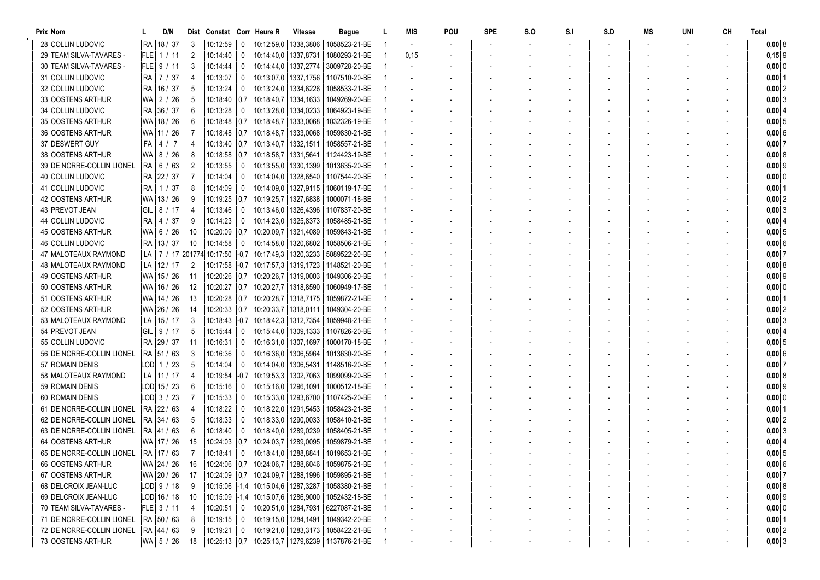| <b>Prix Nom</b>             |     | D/N            |                | Dist Constat Corr Heure R         |              |                        | Vitesse                            | <b>Bague</b>                                            |                | MIS  | POU | <b>SPE</b> | S.O | S.I | S.D | MS | UNI | CН | Total          |
|-----------------------------|-----|----------------|----------------|-----------------------------------|--------------|------------------------|------------------------------------|---------------------------------------------------------|----------------|------|-----|------------|-----|-----|-----|----|-----|----|----------------|
| 28 COLLIN LUDOVIC           |     | RA 18 / 37     | -3             | 10:12:59                          | - 0          |                        | 10:12:59.0   1338.3806             | 1058523-21-BE                                           |                |      |     |            |     |     |     |    |     |    | $0,00$ 8       |
| 29 TEAM SILVA-TAVARES -     |     | FLE  1 / 11    | $\overline{2}$ | 10:14:40                          | 0            | 10:14:40.0   1337.8731 |                                    | 1080293-21-BE                                           |                | 0,15 |     |            |     |     |     |    |     |    | $0,15$ 9       |
| 30 TEAM SILVA-TAVARES -     |     | $FLE$ 9 / 11   | -3             | 10:14:44                          | 0            |                        | 10:14:44.0   1337.2774             | 3009728-20-BE                                           |                |      |     |            |     |     |     |    |     |    | $0,00$ 0       |
| 31 COLLIN LUDOVIC           |     | RA   7 / 37    | -4             | 10:13:07                          | 0            |                        | 10:13:07.0   1337.1756             | 1107510-20-BE                                           |                |      |     |            |     |     |     |    |     |    | $0,00$  1      |
| 32 COLLIN LUDOVIC           |     | RA   16 / 37   | -5             | 10:13:24                          | 0            |                        | 10:13:24,0   1334,6226             | 1058533-21-BE                                           |                |      |     |            |     |     |     |    |     |    | $0,00$ 2       |
| 33 OOSTENS ARTHUR           | WA  | 2 / 26         | -5             | 10:18:40 0.7                      |              |                        | 10:18:40.7   1334, 1633            | 1049269-20-BE                                           |                |      |     |            |     |     |     |    |     |    | $0,00$ 3       |
| 34 COLLIN LUDOVIC           |     | RA 36 / 37     | -6             | 10:13:28                          | $\mathbf{0}$ |                        | 10:13:28,0   1334,0233             | 1064923-19-BE                                           |                |      |     |            |     |     |     |    |     |    | 0,00   4       |
| 35 OOSTENS ARTHUR           |     | WA   18 / 26   | -6             | 10:18:48 0.7                      |              | 10:18:48,7   1333,0068 |                                    | 1032326-19-BE                                           |                |      |     |            |     |     |     |    |     |    | $0,00$ 5       |
| 36 OOSTENS ARTHUR           |     | WA 11 / 26     |                | $10:18:48$ 0,7                    |              | 10:18:48,7   1333,0068 |                                    | 1059830-21-BE                                           |                |      |     |            |     |     |     |    |     |    | 0,00 6         |
| 37 DESWERT GUY              | FA  | 4 / 7          | -4             | $10:13:40$   0.7                  |              | 10:13:40,7   1332,1511 |                                    | 1058557-21-BE                                           |                |      |     |            |     |     |     |    |     |    | 0,007          |
| <b>38 OOSTENS ARTHUR</b>    |     | WA 8 / 26      | -8             | $10:18:58$ 0,7                    |              | 10:18:58,7   1331,5641 |                                    | 1124423-19-BE                                           |                |      |     |            |     |     |     |    |     |    | 0,00 8         |
| 39 DE NORRE-COLLIN LIONEL   |     | RA   6 / 63    | $\overline{2}$ | 10:13:55                          |              |                        | 10:13:55,0   1330,1399             | 1013635-20-BE                                           |                |      |     |            |     |     |     |    |     |    | $0,00$ 9       |
| 40 COLLIN LUDOVIC           |     | RA 22 / 37     |                | 10:14:04                          | 0            |                        | 10:14:04.0   1328.6540             | 1107544-20-BE                                           |                |      |     |            |     |     |     |    |     |    | $0,000$ 0      |
| 41 COLLIN LUDOVIC           |     | RA   1 / 37    | -8             | 10:14:09                          | 0            |                        | 10:14:09.0   1327.9115             | 1060119-17-BE                                           |                |      |     |            |     |     |     |    |     |    | $0,00$ 1       |
| <b>42 OOSTENS ARTHUR</b>    |     | WA 13 / 26     |                | 10:19:25   0.7                    |              |                        | 10:19:25,7   1327,6838             | 1000071-18-BE                                           |                |      |     |            |     |     |     |    |     |    | 0,00 2         |
| 43 PREVOT JEAN              |     | GIL   8 / 17   |                | 10:13:46                          | 0            |                        | 10:13:46,0   1326,4396             | 1107837-20-BE                                           |                |      |     |            |     |     |     |    |     |    | 0,00 3         |
| <b>44 COLLIN LUDOVIC</b>    |     | RA   4 / 37    | -9             | 10:14:23                          | 0            |                        | 10:14:23.0   1325.8373             | 1058485-21-BE                                           |                |      |     |            |     |     |     |    |     |    | 0,00   4       |
| <b>45 OOSTENS ARTHUR</b>    |     | WA 6 / 26      | - 10           | $10:20:09$ 0,7                    |              |                        | 10:20:09.7   1321.4089             | 1059843-21-BE                                           |                |      |     |            |     |     |     |    |     |    | 0,005          |
| <b>46 COLLIN LUDOVIC</b>    |     | RA   13 / 37   | -10            | 10:14:58                          | 0            |                        | 10:14:58,0   1320,6802             | 1058506-21-BE                                           |                |      |     |            |     |     |     |    |     |    | 0,006          |
| 47 MALOTEAUX RAYMOND        |     |                |                | LA   7 / 17 201774 10:17:50  -0,7 |              |                        | 10:17:49.3   1320.3233             | 5089522-20-BE                                           |                |      |     |            |     |     |     |    |     |    | 0,007          |
| <b>48 MALOTEAUX RAYMOND</b> |     | LA   12 / 17   | $\overline{2}$ | $10:17:58$ $ -0,7 $               |              |                        | 10:17:57,3   1319,1723             | 1148521-20-BE                                           |                |      |     |            |     |     |     |    |     |    | 0,008          |
| 49 OOSTENS ARTHUR           |     | WA   15 / 26   | - 11           | $10:20:26$   0.7                  |              |                        | 10:20:26.7   1319,0003             | 1049306-20-BE                                           |                |      |     |            |     |     |     |    |     |    | $0,00$  9      |
| 50 OOSTENS ARTHUR           |     | WA 16 / 26     | -12            | 10:20:27   0,7                    |              | 10:20:27,7   1318,8590 |                                    | 1060949-17-BE                                           |                |      |     |            |     |     |     |    |     |    | 0,00 0         |
| 51 OOSTENS ARTHUR           |     | WA 14 / 26     | -13            | 10:20:28 0.7                      |              |                        | 10:20:28,7   1318,7175             | 1059872-21-BE                                           |                |      |     |            |     |     |     |    |     |    | $0,00$  1      |
| 52 OOSTENS ARTHUR           |     | WA 26 / 26     | -14            | $10:20:33$ 0.7                    |              | 10:20:33,7   1318,0111 |                                    | 1049304-20-BE                                           |                |      |     |            |     |     |     |    |     |    | $0,00$  2      |
| 53 MALOTEAUX RAYMOND        |     | LA 15/17       | -3             | 10:18:43 -0.7                     |              |                        | 10:18:42,3   1312,7354             | 1059948-21-BE                                           |                |      |     |            |     |     |     |    |     |    | $0,00$ 3       |
| 54 PREVOT JEAN              | GIL | 9/17           | -5             | 10:15:44                          | 0            |                        | 10:15:44.0   1309.1333             | 1107826-20-BE                                           |                |      |     |            |     |     |     |    |     |    | 0,004          |
| 55 COLLIN LUDOVIC           |     | RA 29 / 37     | -11            | 10:16:31                          | 0            |                        | 10:16:31.0   1307.1697             | 1000170-18-BE                                           |                |      |     |            |     |     |     |    |     |    | 0,005          |
| 56 DE NORRE-COLLIN LIONEL   |     | RA 51 / 63     | -3             | 10:16:36                          | 0            |                        | 10:16:36,0   1306,5964             | 1013630-20-BE                                           |                |      |     |            |     |     |     |    |     |    | 0,00 6         |
| 57 ROMAIN DENIS             |     | $LOD$ 1 / 23   | -5             | 10:14:04                          | 0            | 10:14:04.0   1306.5431 |                                    | 1148516-20-BE                                           |                |      |     |            |     |     |     |    |     |    | 0,007          |
| 58 MALOTEAUX RAYMOND        |     | LA 111 / 17    | 4              | $10:19:54$ $ -0.7 $               |              |                        | 10:19:53,3   1302,7063             | 1099099-20-BE                                           |                |      |     |            |     |     |     |    |     |    | 0,00 8         |
| 59 ROMAIN DENIS             |     | LOD 15 / 23    |                | 10:15:16                          | 0            |                        | 10:15:16.0   1296.1091             | 1000512-18-BE                                           |                |      |     |            |     |     |     |    |     |    | $0,00$  9      |
| 60 ROMAIN DENIS             |     | LOD 3 / 23     |                | 10:15:33                          | 0            |                        | 10:15:33,0   1293,6700             | 1107425-20-BE                                           |                |      |     |            |     |     |     |    |     |    | $0,00$ 0       |
| 61 DE NORRE-COLLIN LIONEL   |     | RA 22 / 63     |                | 10:18:22                          | $\mathbf{0}$ |                        | 10:18:22.0   1291.5453             | 1058423-21-BE                                           |                |      |     |            |     |     |     |    |     |    | $0,00$   1     |
| 62 DE NORRE-COLLIN LIONEL   |     | RA 34 / 63     |                | 10:18:33                          | 0            |                        | 10:18:33.0   1290.0033             | 1058410-21-BE                                           |                |      |     |            |     |     |     |    |     |    | $0,00$ 2       |
| 63 DE NORRE-COLLIN LIONEL   |     | RA  41 / 63    | -6             | 10:18:40                          | 0            |                        | 10:18:40.0   1289.0239             | 1058405-21-BE                                           |                |      |     |            |     |     |     |    |     |    | $0,00 \, \, 3$ |
| 64 OOSTENS ARTHUR           |     | WA 17 / 26     | -15            | $10:24:03$ 0.7                    |              |                        | 10:24:03.7   1289.0095             | 1059879-21-BE                                           |                |      |     |            |     |     |     |    |     |    | $0,00$ 4       |
| 65 DE NORRE-COLLIN LIONEL   |     | RA   17 / 63   | $\overline{7}$ | 10:18:41                          | $\mathbf 0$  |                        | 10:18:41,0   1288,8841             | 1019653-21-BE                                           |                |      |     |            |     |     |     |    |     |    | 0,005          |
| 66 OOSTENS ARTHUR           |     | WA 24 / 26 16  |                |                                   |              |                        |                                    | 10:24:06   0,7   10:24:06,7   1288,6046   1059875-21-BE | $\overline{4}$ |      |     |            |     |     |     |    |     |    | $0,00$ 6       |
| 67 OOSTENS ARTHUR           |     | WA 20 / 26     | 17             |                                   |              |                        |                                    | 10:24:09 0.7 10:24:09.7 1288.1996 1059895-21-BE         | 1              |      |     |            |     |     |     |    |     |    | $0,00$ 7       |
| 68 DELCROIX JEAN-LUC        |     | $LOD$ 9 / 18   | - 9            |                                   |              |                        | 10:15:06 -1,4 10:15:04,6 1287,3287 | 1058380-21-BE                                           |                |      |     |            |     |     |     |    |     |    | 0,008          |
| 69 DELCROIX JEAN-LUC        |     | $LOD$ 16 / 18  | - 10           |                                   |              |                        |                                    | 10:15:09 -1,4 10:15:07,6 1286,9000 1052432-18-BE        |                |      |     |            |     |     |     |    |     |    | $0,00$ 9       |
| 70 TEAM SILVA-TAVARES -     |     | $ FLE $ 3 / 11 |                | $10:20:51$ 0                      |              |                        |                                    | 10:20:51,0   1284,7931   6227087-21-BE                  |                |      |     |            |     |     |     |    |     |    | $0,00$ 0       |
| 71 DE NORRE-COLLIN LIONEL   |     | RA 50/63       |                | $10:19:15$ 0                      |              |                        | 10:19:15,0   1284,1491             | 1049342-20-BE                                           |                |      |     |            |     |     |     |    |     |    | $0,00$  1      |
| 72 DE NORRE-COLLIN LIONEL   |     | RA 44 / 63     | - 9            | $10:19:21$ 0                      |              |                        |                                    | 10:19:21,0   1283,3173   1058422-21-BE                  |                |      |     |            |     |     |     |    |     |    | $0,00$ 2       |
| 73 OOSTENS ARTHUR           |     | WA 5 / 26      | 18             | $10:25:13$ 0,7                    |              |                        |                                    | 10:25:13,7   1279,6239   1137876-21-BE                  |                |      |     |            |     |     |     |    |     |    | $0,00$ 3       |